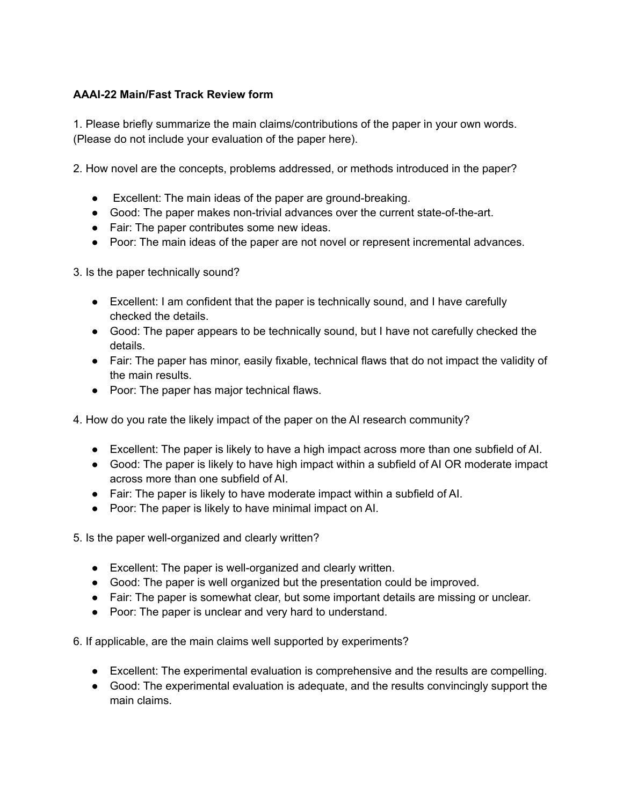## **AAAI-22 Main/Fast Track Review form**

1. Please briefly summarize the main claims/contributions of the paper in your own words. (Please do not include your evaluation of the paper here).

2. How novel are the concepts, problems addressed, or methods introduced in the paper?

- Excellent: The main ideas of the paper are ground-breaking.
- Good: The paper makes non-trivial advances over the current state-of-the-art.
- Fair: The paper contributes some new ideas.
- Poor: The main ideas of the paper are not novel or represent incremental advances.

3. Is the paper technically sound?

- Excellent: I am confident that the paper is technically sound, and I have carefully checked the details.
- Good: The paper appears to be technically sound, but I have not carefully checked the details.
- Fair: The paper has minor, easily fixable, technical flaws that do not impact the validity of the main results.
- Poor: The paper has major technical flaws.

4. How do you rate the likely impact of the paper on the AI research community?

- Excellent: The paper is likely to have a high impact across more than one subfield of AI.
- Good: The paper is likely to have high impact within a subfield of AI OR moderate impact across more than one subfield of AI.
- Fair: The paper is likely to have moderate impact within a subfield of AI.
- Poor: The paper is likely to have minimal impact on AI.
- 5. Is the paper well-organized and clearly written?
	- Excellent: The paper is well-organized and clearly written.
	- Good: The paper is well organized but the presentation could be improved.
	- Fair: The paper is somewhat clear, but some important details are missing or unclear.
	- Poor: The paper is unclear and very hard to understand.

6. If applicable, are the main claims well supported by experiments?

- Excellent: The experimental evaluation is comprehensive and the results are compelling.
- Good: The experimental evaluation is adequate, and the results convincingly support the main claims.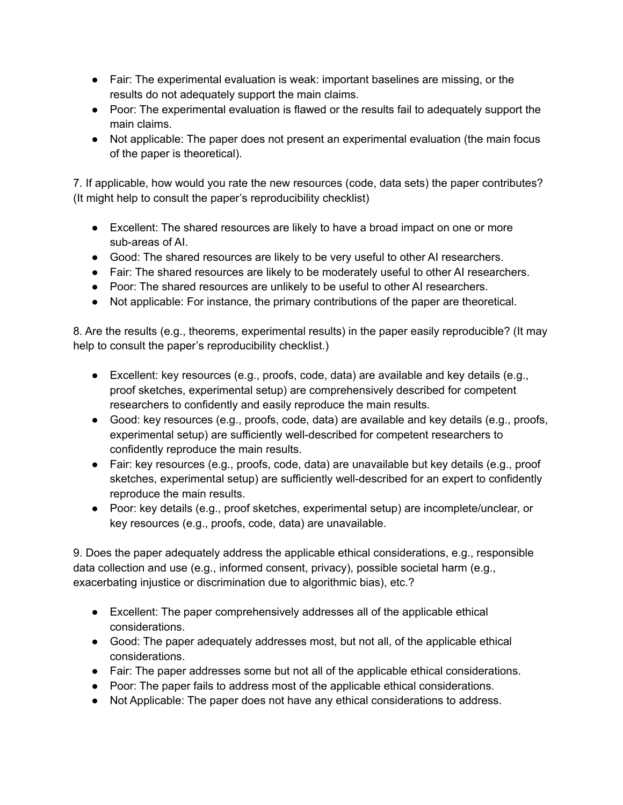- Fair: The experimental evaluation is weak: important baselines are missing, or the results do not adequately support the main claims.
- Poor: The experimental evaluation is flawed or the results fail to adequately support the main claims.
- Not applicable: The paper does not present an experimental evaluation (the main focus of the paper is theoretical).

7. If applicable, how would you rate the new resources (code, data sets) the paper contributes? (It might help to consult the paper's reproducibility checklist)

- Excellent: The shared resources are likely to have a broad impact on one or more sub-areas of AI.
- Good: The shared resources are likely to be very useful to other AI researchers.
- Fair: The shared resources are likely to be moderately useful to other AI researchers.
- Poor: The shared resources are unlikely to be useful to other AI researchers.
- Not applicable: For instance, the primary contributions of the paper are theoretical.

8. Are the results (e.g., theorems, experimental results) in the paper easily reproducible? (It may help to consult the paper's reproducibility checklist.)

- $\bullet$  Excellent: key resources (e.g., proofs, code, data) are available and key details (e.g., proof sketches, experimental setup) are comprehensively described for competent researchers to confidently and easily reproduce the main results.
- Good: key resources (e.g., proofs, code, data) are available and key details (e.g., proofs, experimental setup) are sufficiently well-described for competent researchers to confidently reproduce the main results.
- Fair: key resources (e.g., proofs, code, data) are unavailable but key details (e.g., proof sketches, experimental setup) are sufficiently well-described for an expert to confidently reproduce the main results.
- Poor: key details (e.g., proof sketches, experimental setup) are incomplete/unclear, or key resources (e.g., proofs, code, data) are unavailable.

9. Does the paper adequately address the applicable ethical considerations, e.g., responsible data collection and use (e.g., informed consent, privacy), possible societal harm (e.g., exacerbating injustice or discrimination due to algorithmic bias), etc.?

- Excellent: The paper comprehensively addresses all of the applicable ethical considerations.
- Good: The paper adequately addresses most, but not all, of the applicable ethical considerations.
- Fair: The paper addresses some but not all of the applicable ethical considerations.
- Poor: The paper fails to address most of the applicable ethical considerations.
- Not Applicable: The paper does not have any ethical considerations to address.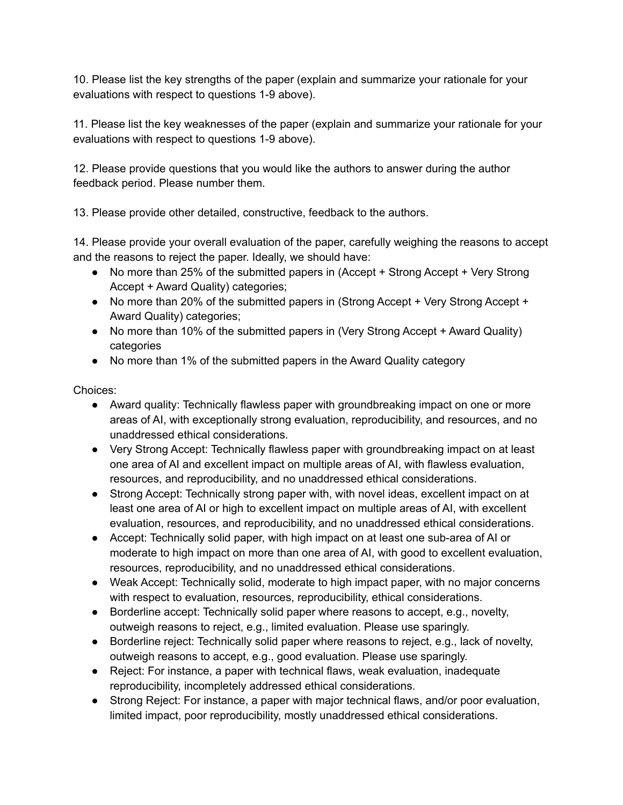10. Please list the key strengths of the paper (explain and summarize your rationale for your evaluations with respect to questions 1-9 above).

11. Please list the key weaknesses of the paper (explain and summarize your rationale for your evaluations with respect to questions 1-9 above).

12. Please provide questions that you would like the authors to answer during the author feedback period. Please number them.

13. Please provide other detailed, constructive, feedback to the authors.

14. Please provide your overall evaluation of the paper, carefully weighing the reasons to accept and the reasons to reject the paper. Ideally, we should have:

- No more than 25% of the submitted papers in (Accept + Strong Accept + Very Strong Accept + Award Quality) categories;
- No more than 20% of the submitted papers in (Strong Accept + Very Strong Accept + Award Quality) categories;
- No more than 10% of the submitted papers in (Very Strong Accept + Award Quality) categories
- No more than 1% of the submitted papers in the Award Quality category

Choices:

- Award quality: Technically flawless paper with groundbreaking impact on one or more areas of AI, with exceptionally strong evaluation, reproducibility, and resources, and no unaddressed ethical considerations.
- Very Strong Accept: Technically flawless paper with groundbreaking impact on at least one area of AI and excellent impact on multiple areas of AI, with flawless evaluation, resources, and reproducibility, and no unaddressed ethical considerations.
- Strong Accept: Technically strong paper with, with novel ideas, excellent impact on at least one area of AI or high to excellent impact on multiple areas of AI, with excellent evaluation, resources, and reproducibility, and no unaddressed ethical considerations.
- Accept: Technically solid paper, with high impact on at least one sub-area of AI or moderate to high impact on more than one area of AI, with good to excellent evaluation, resources, reproducibility, and no unaddressed ethical considerations.
- Weak Accept: Technically solid, moderate to high impact paper, with no major concerns with respect to evaluation, resources, reproducibility, ethical considerations.
- Borderline accept: Technically solid paper where reasons to accept, e.g., novelty, outweigh reasons to reject, e.g., limited evaluation. Please use sparingly.
- Borderline reject: Technically solid paper where reasons to reject, e.g., lack of novelty, outweigh reasons to accept, e.g., good evaluation. Please use sparingly.
- Reject: For instance, a paper with technical flaws, weak evaluation, inadequate reproducibility, incompletely addressed ethical considerations.
- Strong Reject: For instance, a paper with major technical flaws, and/or poor evaluation, limited impact, poor reproducibility, mostly unaddressed ethical considerations.